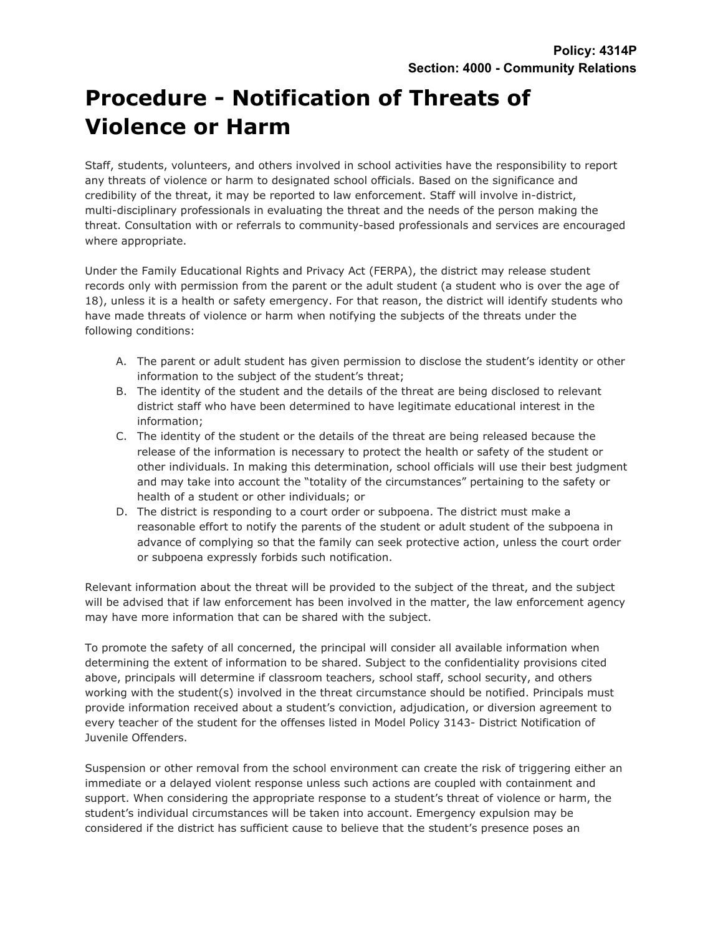## **Procedure - Notification of Threats of Violence or Harm**

Staff, students, volunteers, and others involved in school activities have the responsibility to report any threats of violence or harm to designated school officials. Based on the significance and credibility of the threat, it may be reported to law enforcement. Staff will involve in-district, multi-disciplinary professionals in evaluating the threat and the needs of the person making the threat. Consultation with or referrals to community-based professionals and services are encouraged where appropriate.

Under the Family Educational Rights and Privacy Act (FERPA), the district may release student records only with permission from the parent or the adult student (a student who is over the age of 18), unless it is a health or safety emergency. For that reason, the district will identify students who have made threats of violence or harm when notifying the subjects of the threats under the following conditions:

- A. The parent or adult student has given permission to disclose the student's identity or other information to the subject of the student's threat;
- B. The identity of the student and the details of the threat are being disclosed to relevant district staff who have been determined to have legitimate educational interest in the information;
- C. The identity of the student or the details of the threat are being released because the release of the information is necessary to protect the health or safety of the student or other individuals. In making this determination, school officials will use their best judgment and may take into account the "totality of the circumstances" pertaining to the safety or health of a student or other individuals; or
- D. The district is responding to a court order or subpoena. The district must make a reasonable effort to notify the parents of the student or adult student of the subpoena in advance of complying so that the family can seek protective action, unless the court order or subpoena expressly forbids such notification.

Relevant information about the threat will be provided to the subject of the threat, and the subject will be advised that if law enforcement has been involved in the matter, the law enforcement agency may have more information that can be shared with the subject.

To promote the safety of all concerned, the principal will consider all available information when determining the extent of information to be shared. Subject to the confidentiality provisions cited above, principals will determine if classroom teachers, school staff, school security, and others working with the student(s) involved in the threat circumstance should be notified. Principals must provide information received about a student's conviction, adjudication, or diversion agreement to every teacher of the student for the offenses listed in Model Policy 3143- District Notification of Juvenile Offenders.

Suspension or other removal from the school environment can create the risk of triggering either an immediate or a delayed violent response unless such actions are coupled with containment and support. When considering the appropriate response to a student's threat of violence or harm, the student's individual circumstances will be taken into account. Emergency expulsion may be considered if the district has sufficient cause to believe that the student's presence poses an